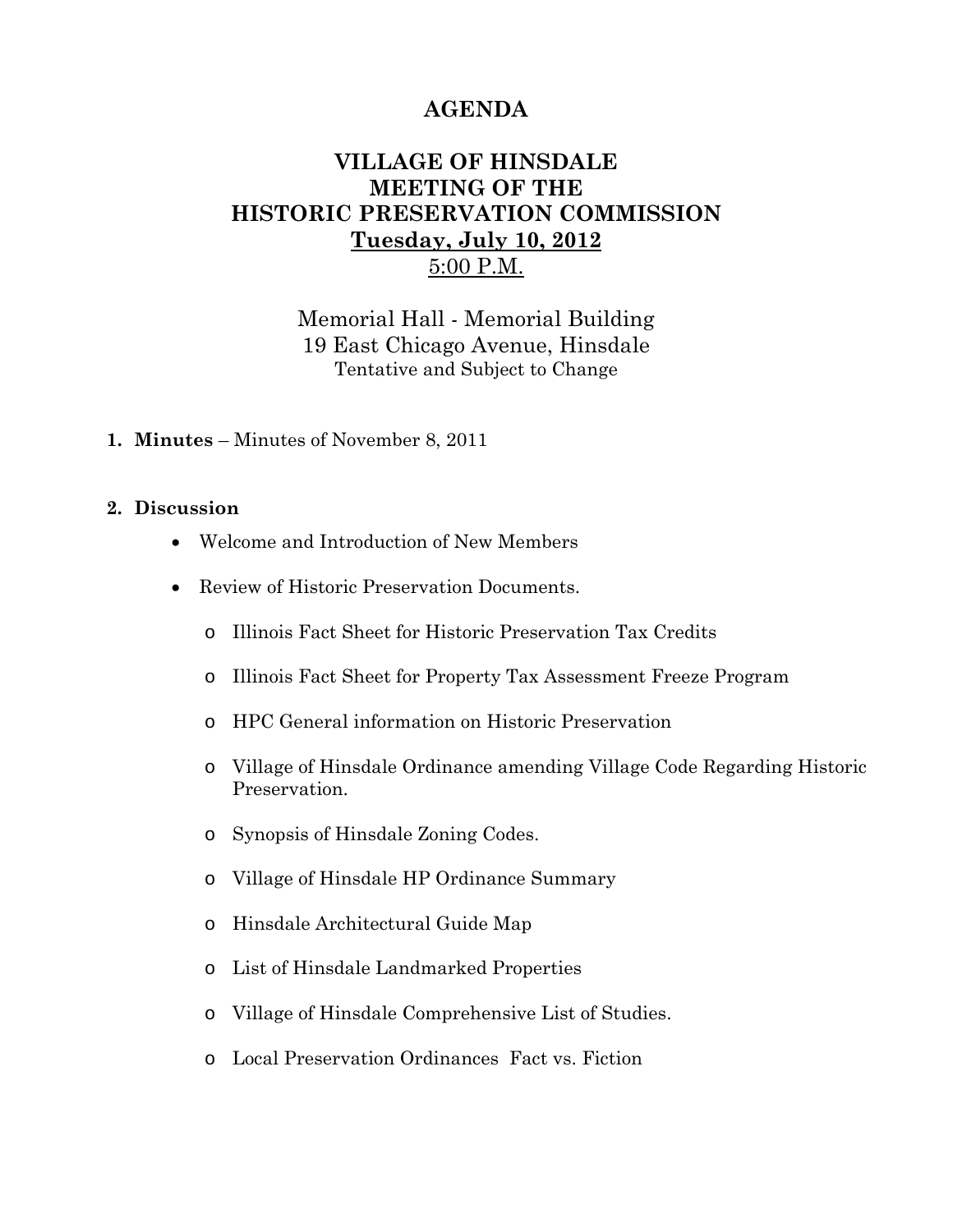## **AGENDA**

## **VILLAGE OF HINSDALE MEETING OF THE HISTORIC PRESERVATION COMMISSION Tuesday, July 10, 2012**  5:00 P.M.

Memorial Hall - Memorial Building 19 East Chicago Avenue, Hinsdale Tentative and Subject to Change

**1. Minutes** – Minutes of November 8, 2011

## **2. Discussion**

- Welcome and Introduction of New Members
- Review of Historic Preservation Documents.
	- o Illinois Fact Sheet for Historic Preservation Tax Credits
	- o Illinois Fact Sheet for Property Tax Assessment Freeze Program
	- o HPC General information on Historic Preservation
	- o Village of Hinsdale Ordinance amending Village Code Regarding Historic Preservation.
	- o Synopsis of Hinsdale Zoning Codes.
	- o Village of Hinsdale HP Ordinance Summary
	- o Hinsdale Architectural Guide Map
	- o List of Hinsdale Landmarked Properties
	- o Village of Hinsdale Comprehensive List of Studies.
	- o Local Preservation Ordinances Fact vs. Fiction